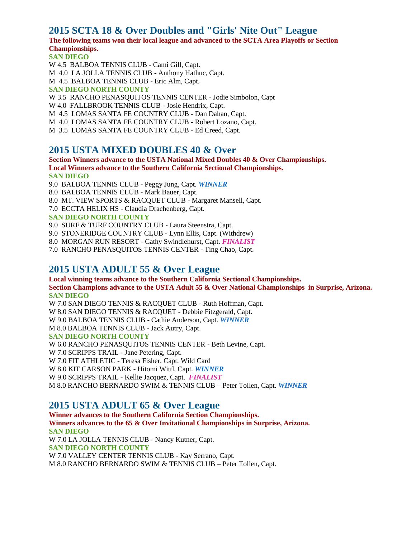## **2015 SCTA 18 & Over Doubles and "Girls' Nite Out" League**

### **The following teams won their local league and advanced to the SCTA Area Playoffs or Section Championships.**

**SAN DIEGO**

W 4.5 BALBOA TENNIS CLUB - Cami Gill, Capt. M 4.0 LA JOLLA TENNIS CLUB - Anthony Hathuc, Capt. M 4.5 BALBOA TENNIS CLUB - Eric Alm, Capt. **SAN DIEGO NORTH COUNTY** W 3.5 RANCHO PENASQUITOS TENNIS CENTER - Jodie Simbolon, Capt W 4.0 FALLBROOK TENNIS CLUB - Josie Hendrix, Capt. M 4.5 LOMAS SANTA FE COUNTRY CLUB - Dan Dahan, Capt. M 4.0 LOMAS SANTA FE COUNTRY CLUB - Robert Lozano, Capt. M 3.5 LOMAS SANTA FE COUNTRY CLUB - Ed Creed, Capt.

### **2015 USTA MIXED DOUBLES 40 & Over**

#### **Section Winners advance to the USTA National Mixed Doubles 40 & Over Championships. Local Winners advance to the Southern California Sectional Championships. SAN DIEGO**

- 9.0 BALBOA TENNIS CLUB Peggy Jung, Capt. *WINNER*
- 8.0 BALBOA TENNIS CLUB Mark Bauer, Capt.
- 8.0 MT. VIEW SPORTS & RACQUET CLUB Margaret Mansell, Capt.
- 7.0 ECCTA HELIX HS Claudia Drachenberg, Capt.

#### **SAN DIEGO NORTH COUNTY**

- 9.0 SURF & TURF COUNTRY CLUB Laura Steenstra, Capt.
- 9.0 STONERIDGE COUNTRY CLUB Lynn Ellis, Capt. (Withdrew)
- 8.0 MORGAN RUN RESORT Cathy Swindlehurst, Capt. *FINALIST*
- 7.0 RANCHO PENASQUITOS TENNIS CENTER Ting Chao, Capt.

### **2015 USTA ADULT 55 & Over League**

**Local winning teams advance to the Southern California Sectional Championships. Section Champions advance to the USTA Adult 55 & Over National Championships in Surprise, Arizona. SAN DIEGO**

W 7.0 SAN DIEGO TENNIS & RACQUET CLUB - Ruth Hoffman, Capt.

W 8.0 SAN DIEGO TENNIS & RACQUET - Debbie Fitzgerald, Capt.

W 9.0 BALBOA TENNIS CLUB - Cathie Anderson, Capt. *WINNER*

M 8.0 BALBOA TENNIS CLUB - Jack Autry, Capt.

#### **SAN DIEGO NORTH COUNTY**

W 6.0 RANCHO PENASQUITOS TENNIS CENTER - Beth Levine, Capt.

W 7.0 SCRIPPS TRAIL - Jane Petering, Capt.

W 7.0 FIT ATHLETIC - Teresa Fisher. Capt. Wild Card

W 8.0 KIT CARSON PARK - Hitomi Wittl, Capt. *WINNER*

W 9.0 SCRIPPS TRAIL - Kellie Jacquez, Capt. *FINALIST*

M 8.0 RANCHO BERNARDO SWIM & TENNIS CLUB – Peter Tollen, Capt. *WINNER*

# **2015 USTA ADULT 65 & Over League**

**Winner advances to the Southern California Section Championships. Winners advances to the 65 & Over Invitational Championships in Surprise, Arizona. SAN DIEGO** W 7.0 LA JOLLA TENNIS CLUB - Nancy Kutner, Capt. **SAN DIEGO NORTH COUNTY** W 7.0 VALLEY CENTER TENNIS CLUB - Kay Serrano, Capt. M 8.0 RANCHO BERNARDO SWIM & TENNIS CLUB – Peter Tollen, Capt.